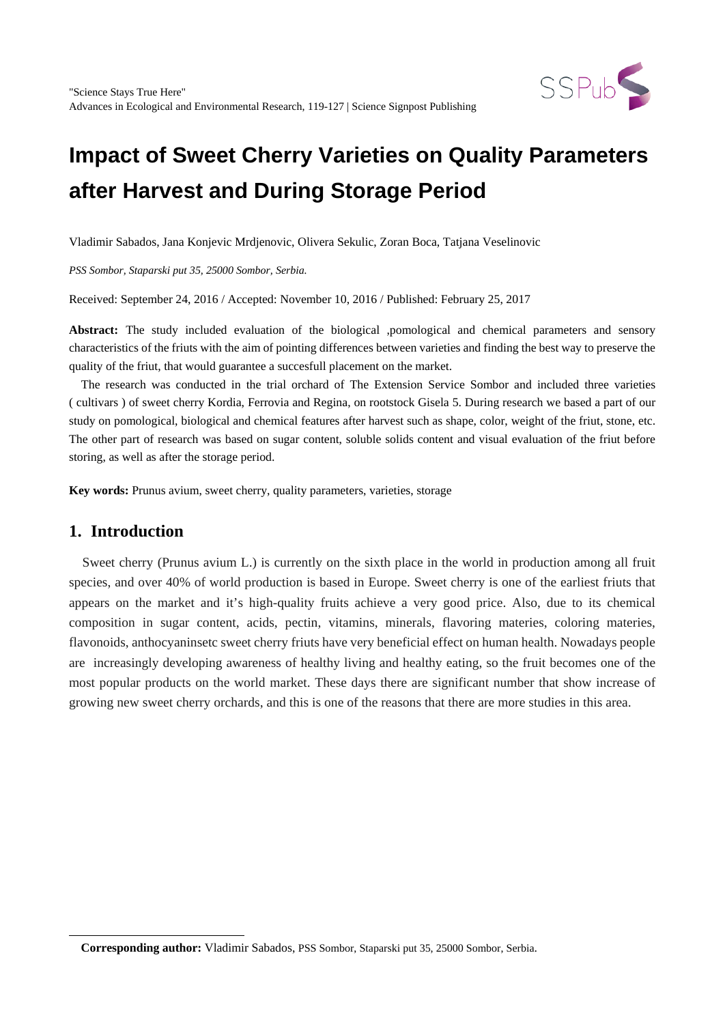

Vladimir Sabados, Jana Konjevic Mrdjenovic, Olivera Sekulic, Zoran Boca, Tatjana Veselinovic

*PSS Sombor, Staparski put 35, 25000 Sombor, Serbia.*

Received: September 24, 2016 / Accepted: November 10, 2016 / Published: February 25, 2017

**Abstract:** The study included evaluation of the biological ,pomological and chemical parameters and sensory characteristics of the friuts with the aim of pointing differences between varieties and finding the best way to preserve the quality of the friut, that would guarantee a succesfull placement on the market.

The research was conducted in the trial orchard of The Extension Service Sombor and included three varieties ( cultivars ) of sweet cherry Kordia, Ferrovia and Regina, on rootstock Gisela 5. During research we based a part of our study on pomological, biological and chemical features after harvest such as shape, color, weight of the friut, stone, etc. The other part of research was based on sugar content, soluble solids content and visual evaluation of the friut before storing, as well as after the storage period.

**Key words:** Prunus avium, sweet cherry, quality parameters, varieties, storage

# **1. Introduction**

<span id="page-0-0"></span> $\overline{a}$ 

Sweet cherry (Prunus avium L.) is currently on the sixth place in the world in production among all fruit species, and over 40% of world production is based in Europe. Sweet cherry is one of the earliest friuts that appears on the market and it's high-quality fruits achieve a very good price. Also, due to its chemical composition in sugar content, acids, pectin, vitamins, minerals, flavoring materies, coloring materies, flavonoids, anthocyaninsetc sweet cherry friuts have very beneficial effect on human health. Nowadays people are increasingly developing awareness of healthy living and healthy eating, so the fruit becomes one of the most popular products on the world market. These days there are significant number that show increase of growing new sweet cherry orchards, and this is one of the reasons that there are more studies in this area.

**Corresponding author:** Vladimir Sabados, PSS Sombor, Staparski put 35, 25000 Sombor, Serbia.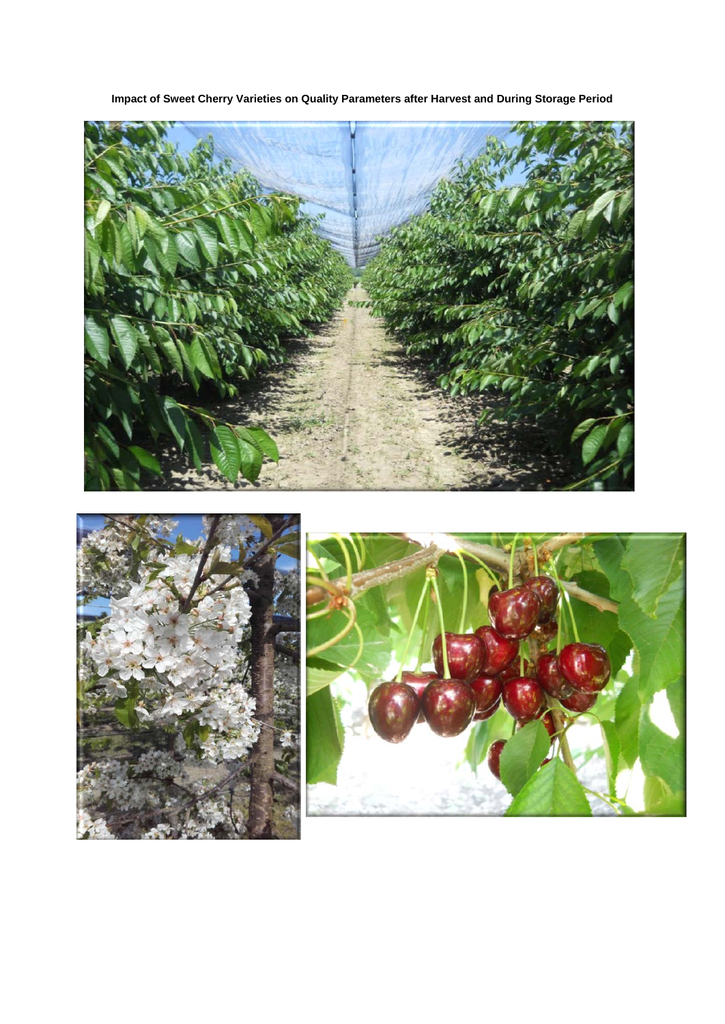



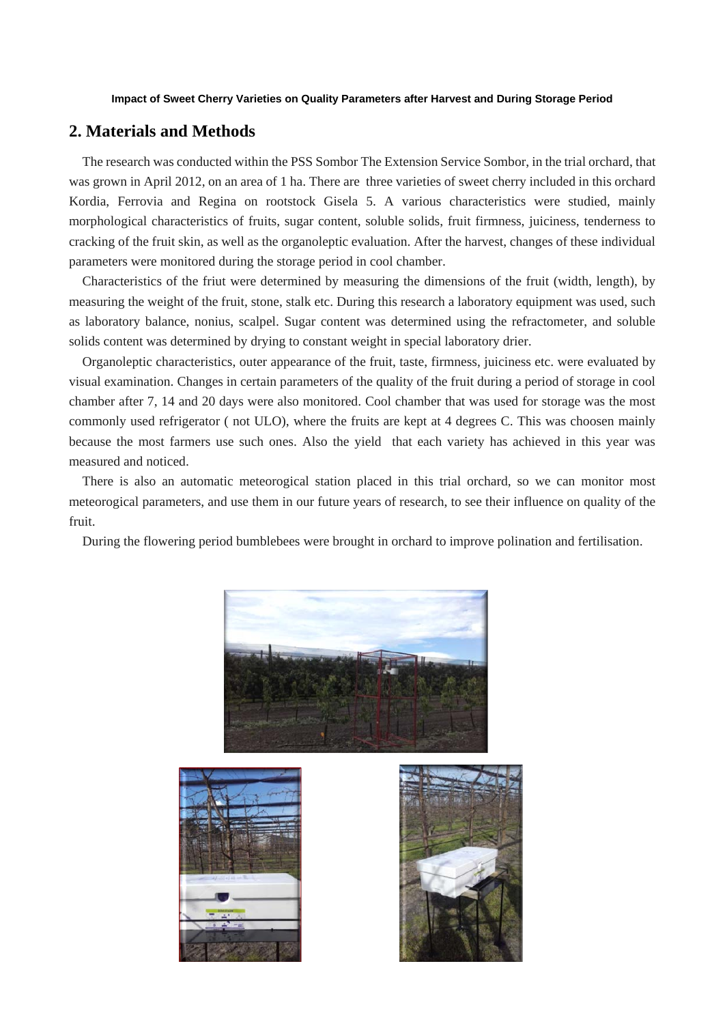## **2. Materials and Methods**

The research was conducted within the PSS Sombor The Extension Service Sombor, in the trial orchard, that was grown in April 2012, on an area of 1 ha. There are three varieties of sweet cherry included in this orchard Kordia, Ferrovia and Regina on rootstock Gisela 5. A various characteristics were studied, mainly morphological characteristics of fruits, sugar content, soluble solids, fruit firmness, juiciness, tenderness to cracking of the fruit skin, as well as the organoleptic evaluation. After the harvest, changes of these individual parameters were monitored during the storage period in cool chamber.

Characteristics of the friut were determined by measuring the dimensions of the fruit (width, length), by measuring the weight of the fruit, stone, stalk etc. During this research a laboratory equipment was used, such as laboratory balance, nonius, scalpel. Sugar content was determined using the refractometer, and soluble solids content was determined by drying to constant weight in special laboratory drier.

Organoleptic characteristics, outer appearance of the fruit, taste, firmness, juiciness etc. were evaluated by visual examination. Changes in certain parameters of the quality of the fruit during a period of storage in cool chamber after 7, 14 and 20 days were also monitored. Cool chamber that was used for storage was the most commonly used refrigerator ( not ULO), where the fruits are kept at 4 degrees C. This was choosen mainly because the most farmers use such ones. Also the yield that each variety has achieved in this year was measured and noticed.

There is also an automatic meteorogical station placed in this trial orchard, so we can monitor most meteorogical parameters, and use them in our future years of research, to see their influence on quality of the fruit.

During the flowering period bumblebees were brought in orchard to improve polination and fertilisation.

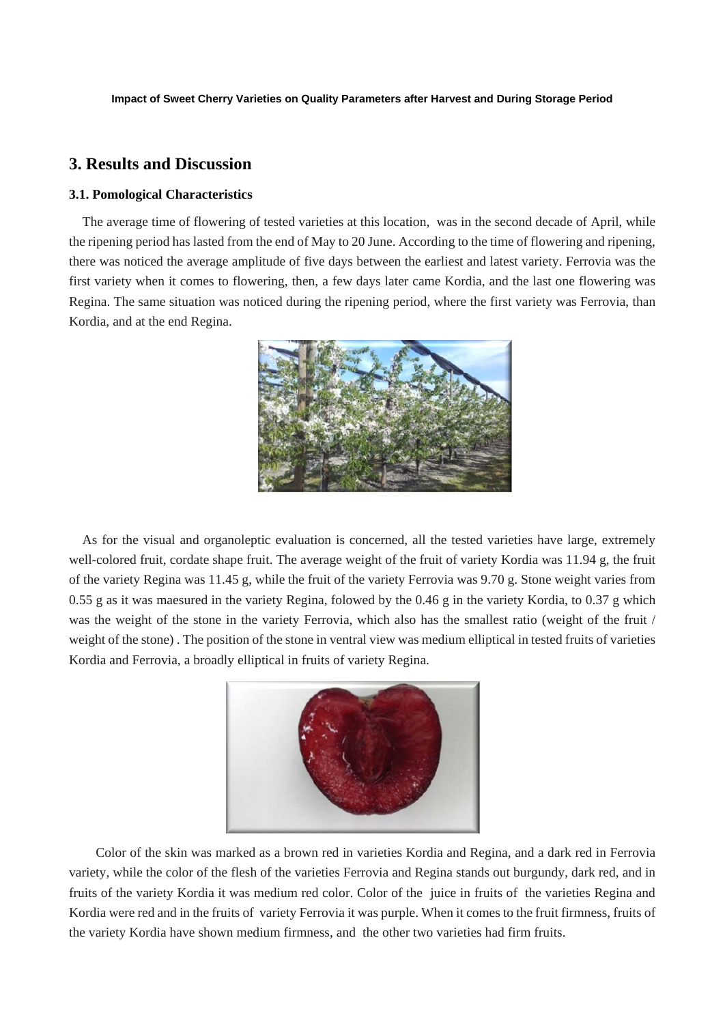## **3. Results and Discussion**

#### **3.1. Pomological Characteristics**

The average time of flowering of tested varieties at this location, was in the second decade of April, while the ripening period has lasted from the end of May to 20 June. According to the time of flowering and ripening, there was noticed the average amplitude of five days between the earliest and latest variety. Ferrovia was the first variety when it comes to flowering, then, a few days later came Kordia, and the last one flowering was Regina. The same situation was noticed during the ripening period, where the first variety was Ferrovia, than Kordia, and at the end Regina.



As for the visual and organoleptic evaluation is concerned, all the tested varieties have large, extremely well-colored fruit, cordate shape fruit. The average weight of the fruit of variety Kordia was 11.94 g, the fruit of the variety Regina was 11.45 g, while the fruit of the variety Ferrovia was 9.70 g. Stone weight varies from 0.55 g as it was maesured in the variety Regina, folowed by the 0.46 g in the variety Kordia, to 0.37 g which was the weight of the stone in the variety Ferrovia, which also has the smallest ratio (weight of the fruit / weight of the stone) . The position of the stone in ventral view was medium elliptical in tested fruits of varieties Kordia and Ferrovia, a broadly elliptical in fruits of variety Regina.



Color of the skin was marked as a brown red in varieties Kordia and Regina, and a dark red in Ferrovia variety, while the color of the flesh of the varieties Ferrovia and Regina stands out burgundy, dark red, and in fruits of the variety Kordia it was medium red color. Color of the juice in fruits of the varieties Regina and Kordia were red and in the fruits of variety Ferrovia it was purple. When it comes to the fruit firmness, fruits of the variety Kordia have shown medium firmness, and the other two varieties had firm fruits.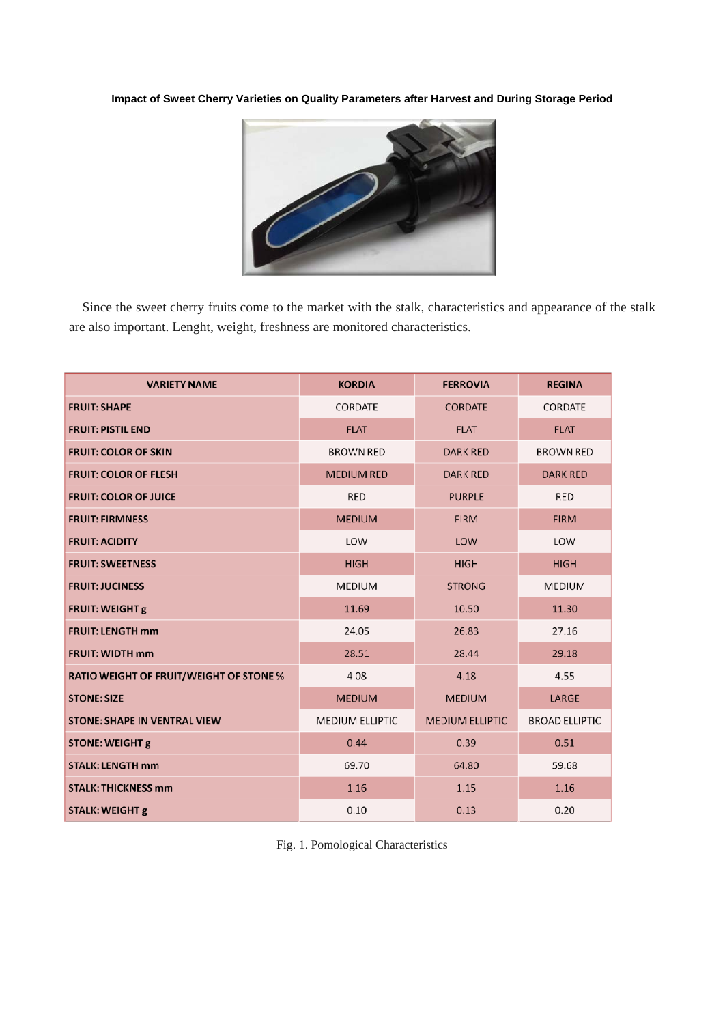

Since the sweet cherry fruits come to the market with the stalk, characteristics and appearance of the stalk are also important. Lenght, weight, freshness are monitored characteristics.

| <b>VARIETY NAME</b>                            | <b>KORDIA</b>          | <b>FERROVIA</b>        | <b>REGINA</b>         |
|------------------------------------------------|------------------------|------------------------|-----------------------|
| <b>FRUIT: SHAPE</b>                            | <b>CORDATE</b>         | <b>CORDATE</b>         | CORDATE               |
| <b>FRUIT: PISTIL END</b>                       | <b>FLAT</b>            | <b>FLAT</b>            | <b>FLAT</b>           |
| <b>FRUIT: COLOR OF SKIN</b>                    | <b>BROWN RED</b>       | <b>DARK RED</b>        | <b>BROWN RED</b>      |
| <b>FRUIT: COLOR OF FLESH</b>                   | <b>MEDIUM RED</b>      | <b>DARK RED</b>        | <b>DARK RED</b>       |
| <b>FRUIT: COLOR OF JUICE</b>                   | <b>RED</b>             | <b>PURPLE</b>          | <b>RED</b>            |
| <b>FRUIT: FIRMNESS</b>                         | <b>MEDIUM</b>          | <b>FIRM</b>            | <b>FIRM</b>           |
| <b>FRUIT: ACIDITY</b>                          | LOW                    | LOW                    | LOW                   |
| <b>FRUIT: SWEETNESS</b>                        | <b>HIGH</b>            | <b>HIGH</b>            | <b>HIGH</b>           |
| <b>FRUIT: JUCINESS</b>                         | <b>MEDIUM</b>          | <b>STRONG</b>          | <b>MEDIUM</b>         |
| <b>FRUIT: WEIGHT g</b>                         | 11.69                  | 10.50                  | 11.30                 |
| <b>FRUIT: LENGTH mm</b>                        | 24.05                  | 26.83                  | 27.16                 |
| <b>FRUIT: WIDTH mm</b>                         | 28.51                  | 28.44                  | 29.18                 |
| <b>RATIO WEIGHT OF FRUIT/WEIGHT OF STONE %</b> | 4.08                   | 4.18                   | 4.55                  |
| <b>STONE: SIZE</b>                             | <b>MEDIUM</b>          | <b>MEDIUM</b>          | LARGE                 |
| <b>STONE: SHAPE IN VENTRAL VIEW</b>            | <b>MEDIUM ELLIPTIC</b> | <b>MEDIUM ELLIPTIC</b> | <b>BROAD ELLIPTIC</b> |
| <b>STONE: WEIGHT g</b>                         | 0.44                   | 0.39                   | 0.51                  |
| <b>STALK: LENGTH mm</b>                        | 69.70                  | 64.80                  | 59.68                 |
| <b>STALK: THICKNESS mm</b>                     | 1.16                   | 1.15                   | 1.16                  |
| <b>STALK: WEIGHT g</b>                         | 0.10                   | 0.13                   | 0.20                  |

Fig. 1. Pomological Characteristics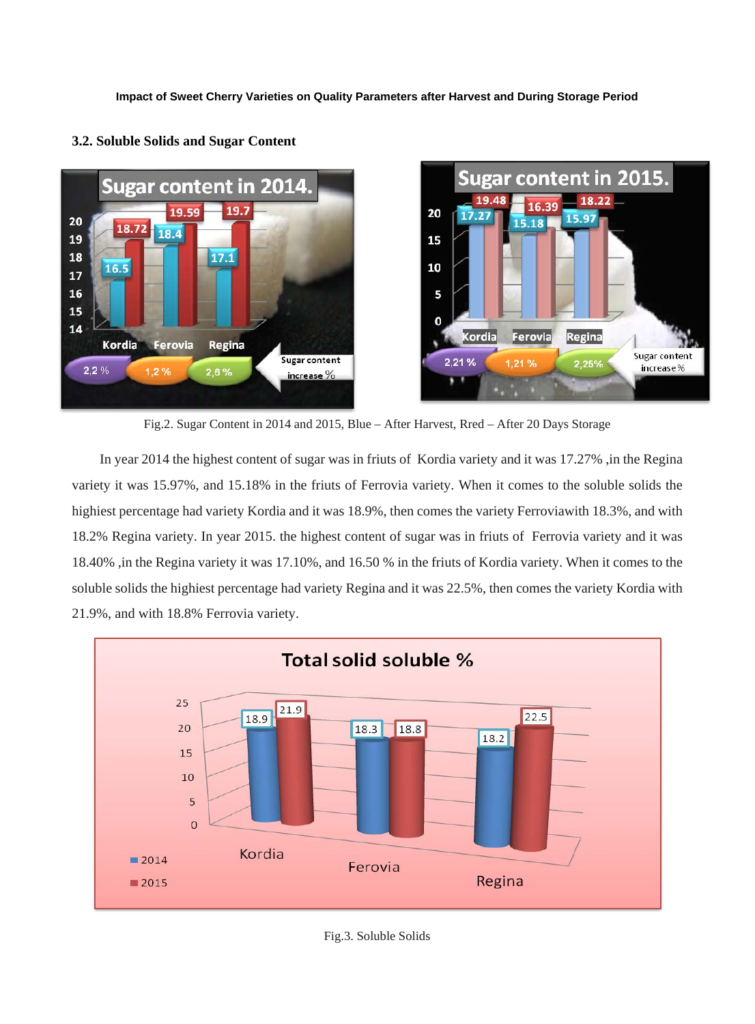

### **3.2. Soluble Solids and Sugar Content**

Fig.2. Sugar Content in 2014 and 2015, Blue – After Harvest, Rred – After 20 Days Storage

In year 2014 the highest content of sugar was in friuts of Kordia variety and it was 17.27%, in the Regina variety it was 15.97%, and 15.18% in the friuts of Ferrovia variety. When it comes to the soluble solids the highiest percentage had variety Kordia and it was 18.9%, then comes the variety Ferroviawith 18.3%, and with 18.2% Regina variety. In year 2015. the highest content of sugar was in friuts of Ferrovia variety and it was 18.40% ,in the Regina variety it was 17.10%, and 16.50 % in the friuts of Kordia variety. When it comes to the soluble solids the highiest percentage had variety Regina and it was 22.5%, then comes the variety Kordia with 21.9%, and with 18.8% Ferrovia variety.

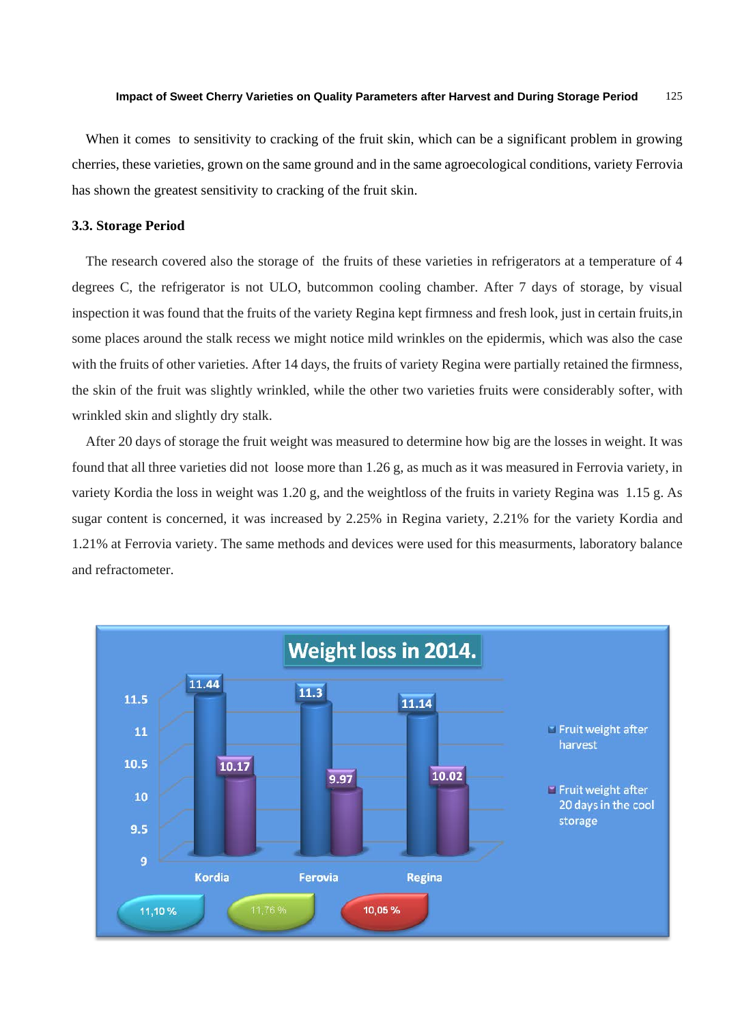When it comes to sensitivity to cracking of the fruit skin, which can be a significant problem in growing cherries, these varieties, grown on the same ground and in the same agroecological conditions, variety Ferrovia has shown the greatest sensitivity to cracking of the fruit skin.

## **3.3. Storage Period**

The research covered also the storage of the fruits of these varieties in refrigerators at a temperature of 4 degrees C, the refrigerator is not ULO, butcommon cooling chamber. After 7 days of storage, by visual inspection it was found that the fruits of the variety Regina kept firmness and fresh look, just in certain fruits,in some places around the stalk recess we might notice mild wrinkles on the epidermis, which was also the case with the fruits of other varieties. After 14 days, the fruits of variety Regina were partially retained the firmness, the skin of the fruit was slightly wrinkled, while the other two varieties fruits were considerably softer, with wrinkled skin and slightly dry stalk.

After 20 days of storage the fruit weight was measured to determine how big are the losses in weight. It was found that all three varieties did not loose more than 1.26 g, as much as it was measured in Ferrovia variety, in variety Kordia the loss in weight was 1.20 g, and the weightloss of the fruits in variety Regina was 1.15 g. As sugar content is concerned, it was increased by 2.25% in Regina variety, 2.21% for the variety Kordia and 1.21% at Ferrovia variety. The same methods and devices were used for this measurments, laboratory balance and refractometer.

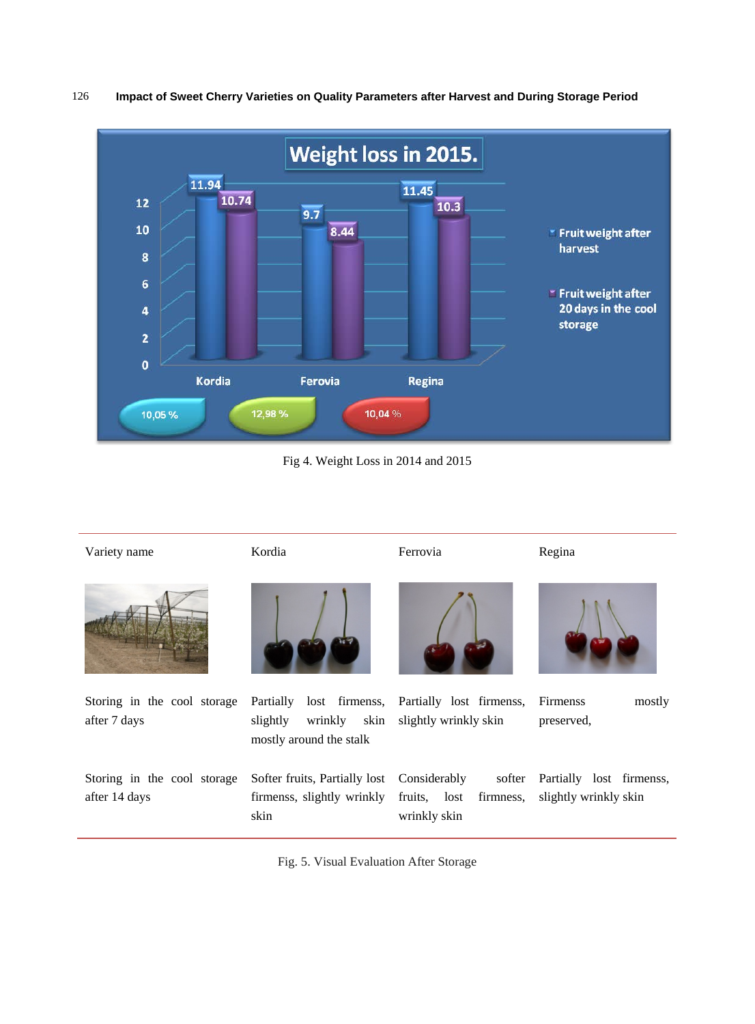



Fig 4. Weight Loss in 2014 and 2015

| Variety name                                 | Kordia                                                                                | Ferrovia                                                            | Regina                                            |
|----------------------------------------------|---------------------------------------------------------------------------------------|---------------------------------------------------------------------|---------------------------------------------------|
|                                              |                                                                                       |                                                                     |                                                   |
| Storing in the cool storage<br>after 7 days  | lost firmenss,<br>Partially<br>wrinkly<br>skin<br>slightly<br>mostly around the stalk | Partially lost firmenss,<br>slightly wrinkly skin                   | Firmenss<br>mostly<br>preserved,                  |
| Storing in the cool storage<br>after 14 days | Softer fruits, Partially lost<br>firmenss, slightly wrinkly<br>skin                   | Considerably<br>softer<br>fruits, lost<br>firmness,<br>wrinkly skin | Partially lost firmenss,<br>slightly wrinkly skin |

Fig. 5. Visual Evaluation After Storage